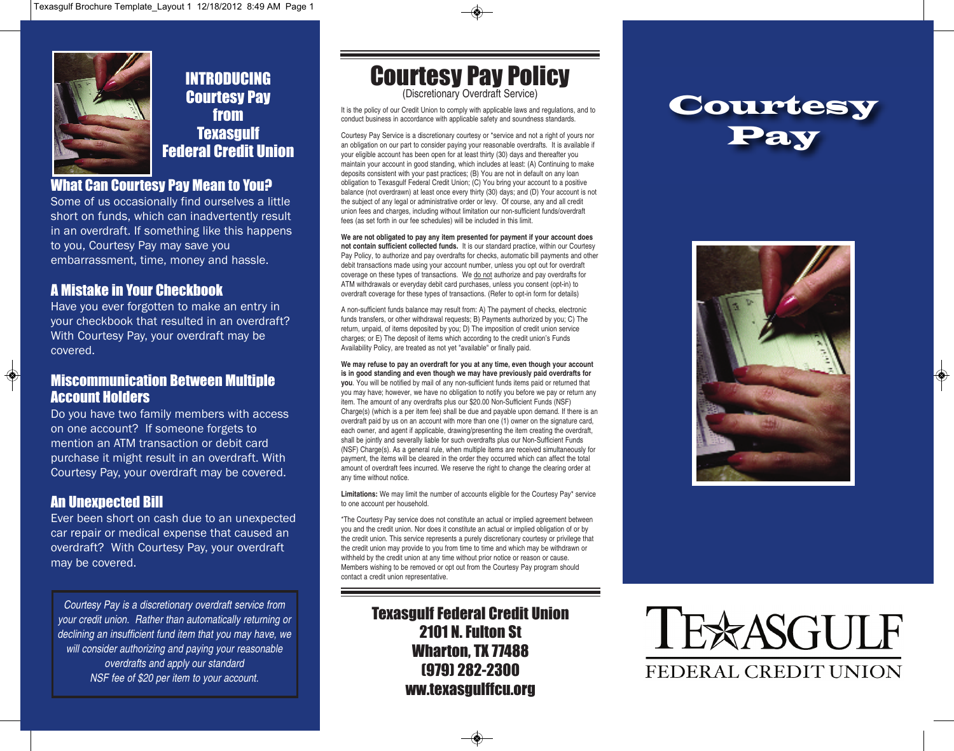

#### INTRODUCING Courtesy Pay from **Texasgulf** Federal Credit Union

#### What Can Courtesy Pay Mean to You?

Some of us occasionally find ourselves a little short on funds, which can inadvertently result in an overdraft. If something like this happens to you, Courtesy Pay may save you embarrassment, time, money and hassle.

#### A Mistake in Your Checkbook

Have you ever forgotten to make an entry in your checkbook that resulted in an overdraft? With Courtesy Pay, your overdraft may be covered.

#### Miscommunication Between Multiple Account Holders

Do you have two family members with access on one account? If someone forgets to mention an ATM transaction or debit card purchase it might result in an overdraft. With Courtesy Pay, your overdraft may be covered.

#### An Unexpected Bill

 $\bigcirc$ 

Ever been short on cash due to an unexpected car repair or medical expense that caused an overdraft? With Courtesy Pay, your overdraft may be covered.

*Courtesy Pay is a discretionary overdraft service from your credit union. Rather than automatically returning or declining an insufficient fund item that you may have, we will consider authorizing and paying your reasonable overdrafts and apply our standard NSF fee of \$20 per item to your account.*

Courtesy Pay Policy

(Discretionary Overdraft Service)

It is the policy of our Credit Union to comply with applicable laws and regulations, and to conduct business in accordance with applicable safety and soundness standards.

Courtesy Pay Service is a discretionary courtesy or \*service and not a right of yours nor an obligation on our part to consider paying your reasonable overdrafts. It is available if your eligible account has been open for at least thirty (30) days and thereafter you maintain your account in good standing, which includes at least: (A) Continuing to make deposits consistent with your past practices; (B) You are not in default on any loan obligation to Texasgulf Federal Credit Union; (C) You bring your account to a positive balance (not overdrawn) at least once every thirty (30) days; and (D) Your account is not the subject of any legal or administrative order or levy. Of course, any and all credit union fees and charges, including without limitation our non-sufficient funds/overdraft fees (as set forth in our fee schedules) will be included in this limit.

**We are not obligated to pay any item presented for payment if your account does not contain sufficient collected funds.** It is our standard practice, within our Courtesy Pay Policy, to authorize and pay overdrafts for checks, automatic bill payments and other debit transactions made using your account number, unless you opt out for overdraft coverage on these types of transactions. We do not authorize and pay overdrafts for ATM withdrawals or everyday debit card purchases, unless you consent (opt-in) to overdraft coverage for these types of transactions. (Refer to opt-in form for details)

A non-sufficient funds balance may result from: A) The payment of checks, electronic funds transfers, or other withdrawal requests; B) Payments authorized by you; C) The return, unpaid, of items deposited by you; D) The imposition of credit union service charges; or E) The deposit of items which according to the credit union's Funds Availability Policy, are treated as not yet "available" or finally paid.

**We may refuse to pay an overdraft for you at any time, even though your account is in good standing and even though we may have previously paid overdrafts for you**. You will be notified by mail of any non-sufficient funds items paid or returned that you may have; however, we have no obligation to notify you before we pay or return any item. The amount of any overdrafts plus our \$20.00 Non-Sufficient Funds (NSF) Charge(s) (which is a per item fee) shall be due and payable upon demand. If there is an overdraft paid by us on an account with more than one (1) owner on the signature card, each owner, and agent if applicable, drawing/presenting the item creating the overdraft, shall be jointly and severally liable for such overdrafts plus our Non-Sufficient Funds (NSF) Charge(s). As a general rule, when multiple items are received simultaneously for payment, the items will be cleared in the order they occurred which can affect the total amount of overdraft fees incurred. We reserve the right to change the clearing order at any time without notice.

**Limitations:** We may limit the number of accounts eligible for the Courtesy Pay\* service to one account per household.

\*The Courtesy Pay service does not constitute an actual or implied agreement between you and the credit union. Nor does it constitute an actual or implied obligation of or by the credit union. This service represents a purely discretionary courtesy or privilege that the credit union may provide to you from time to time and which may be withdrawn or withheld by the credit union at any time without prior notice or reason or cause. Members wishing to be removed or opt out from the Courtesy Pay program should contact a credit union representative.

> **Texasgulf Federal Credit Union** 2101 N. Fulton St Wharton, TX 77488 (979) 282-2300 ww.texasgulffcu.org

### **Courtesy** Pay



 $\bigcirc$ 

## TEXASGULF FEDERAL CREDIT UNION